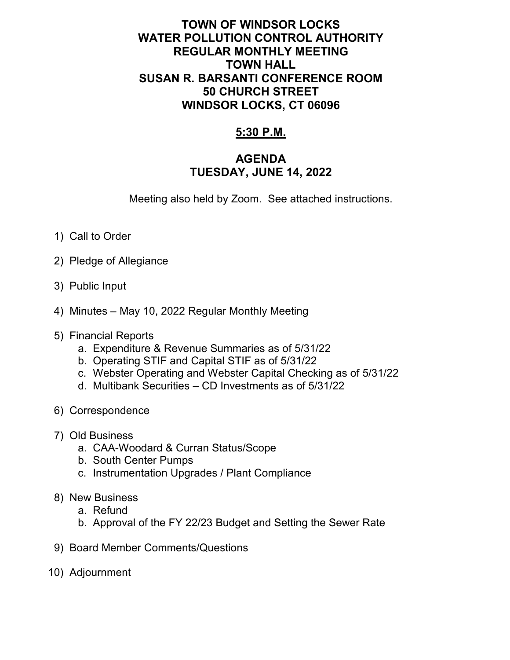## **TOWN OF WINDSOR LOCKS WATER POLLUTION CONTROL AUTHORITY REGULAR MONTHLY MEETING TOWN HALL SUSAN R. BARSANTI CONFERENCE ROOM 50 CHURCH STREET WINDSOR LOCKS, CT 06096**

## **5:30 P.M.**

## **AGENDA TUESDAY, JUNE 14, 2022**

Meeting also held by Zoom. See attached instructions.

- 1) Call to Order
- 2) Pledge of Allegiance
- 3) Public Input
- 4) Minutes May 10, 2022 Regular Monthly Meeting
- 5) Financial Reports
	- a. Expenditure & Revenue Summaries as of 5/31/22
	- b. Operating STIF and Capital STIF as of 5/31/22
	- c. Webster Operating and Webster Capital Checking as of 5/31/22
	- d. Multibank Securities CD Investments as of 5/31/22
- 6) Correspondence
- 7) Old Business
	- a. CAA-Woodard & Curran Status/Scope
	- b. South Center Pumps
	- c. Instrumentation Upgrades / Plant Compliance
- 8) New Business
	- a. Refund
	- b. Approval of the FY 22/23 Budget and Setting the Sewer Rate
- 9) Board Member Comments/Questions
- 10) Adjournment